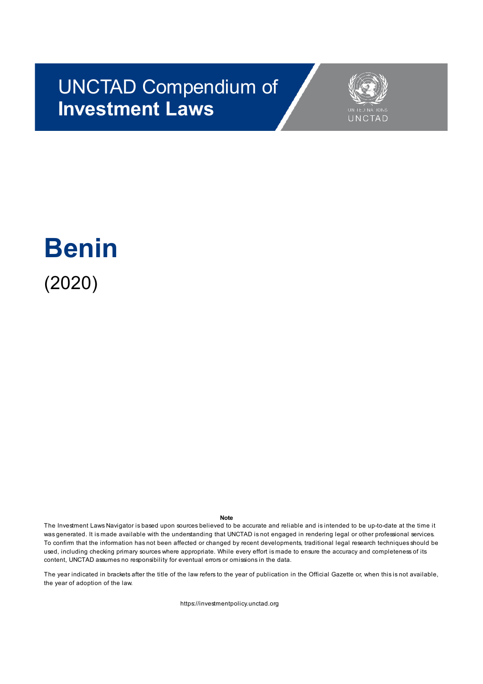## UNCTAD Compendium of **Investment Laws**



# **Benin** (2020)

#### **Note**

The Investment Laws Navigator is based upon sources believed to be accurate and reliable and is intended to be up-to-date at the time it was generated. It is made available with the understanding that UNCTAD is not engaged in rendering legal or other professional services. To confirm that the information has not been affected or changed by recent developments, traditional legal research techniques should be used, including checking primary sources where appropriate. While every effort is made to ensure the accuracy and completeness of its content, UNCTAD assumes no responsibility for eventual errors or omissions in the data.

The year indicated in brackets after the title of the law refers to the year of publication in the Official Gazette or, when this is not available, the year of adoption of the law.

https://investmentpolicy.unctad.org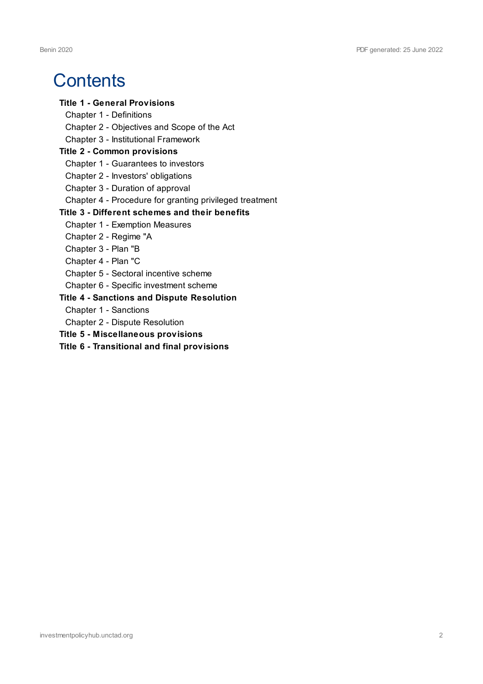### **Contents**

#### **Title 1 - General Provisions**

- Chapter 1 Definitions
- Chapter 2 Objectives and Scope of the Act
- Chapter 3 Institutional Framework

#### **Title 2 - Common provisions**

- Chapter 1 Guarantees to investors
- Chapter 2 Investors' obligations
- Chapter 3 Duration of approval
- Chapter 4 Procedure for granting privileged treatment

#### **Title 3 - Different schemes and their benefits**

- Chapter 1 Exemption Measures
- Chapter 2 Regime "A
- Chapter 3 Plan "B
- Chapter 4 Plan "C
- Chapter 5 Sectoral incentive scheme
- Chapter 6 Specific investment scheme

#### **Title 4 - Sanctions and Dispute Resolution**

- Chapter 1 Sanctions
- Chapter 2 Dispute Resolution
- **Title 5 - Miscellaneous provisions**
- **Title 6 - Transitional and final provisions**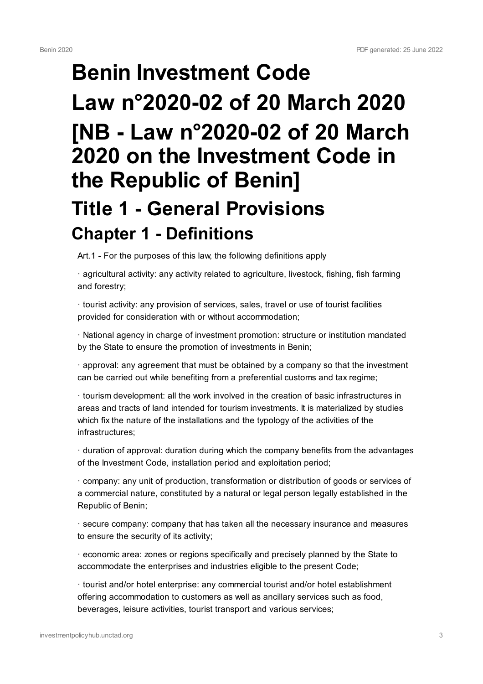# **Benin Investment Code Law n°2020-02 of 20 March 2020 [NB - Law n°2020-02 of 20 March 2020 on the Investment Code in the Republic of Benin] Title 1 - General Provisions Chapter 1 - Definitions**

Art.1 - For the purposes of this law, the following definitions apply

· agricultural activity: any activity related to agriculture, livestock, fishing, fish farming and forestry;

· tourist activity: any provision of services, sales, travel or use of tourist facilities provided for consideration with or without accommodation;

· National agency in charge of investment promotion: structure or institution mandated by the State to ensure the promotion of investments in Benin;

· approval: any agreement that must be obtained by a company so that the investment can be carried out while benefiting from a preferential customs and tax regime;

· tourism development: all the work involved in the creation of basic infrastructures in areas and tracts of land intended for tourism investments. It is materialized by studies which fix the nature of the installations and the typology of the activities of the infrastructures;

· duration of approval: duration during which the company benefits from the advantages of the Investment Code, installation period and exploitation period;

· company: any unit of production, transformation or distribution of goods or services of a commercial nature, constituted by a natural or legal person legally established in the Republic of Benin;

· secure company: company that has taken all the necessary insurance and measures to ensure the security of its activity;

· economic area: zones or regions specifically and precisely planned by the State to accommodate the enterprises and industries eligible to the present Code;

· tourist and/or hotel enterprise: any commercial tourist and/or hotel establishment offering accommodation to customers as well as ancillary services such as food, beverages, leisure activities, tourist transport and various services;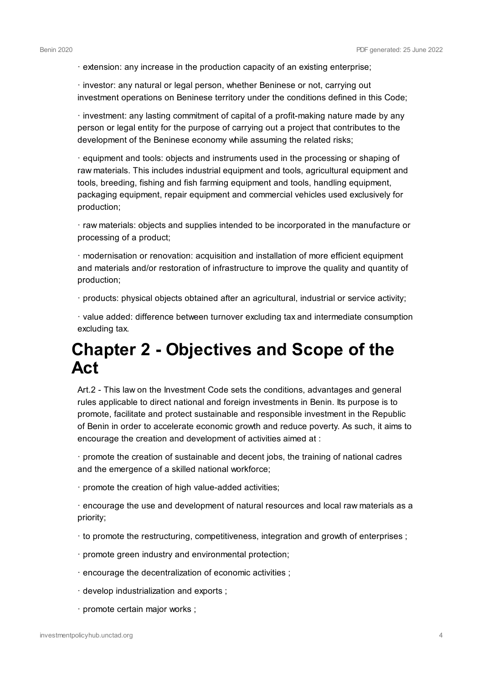· extension: any increase in the production capacity of an existing enterprise;

· investor: any natural or legal person, whether Beninese or not, carrying out investment operations on Beninese territory under the conditions defined in this Code;

· investment: any lasting commitment of capital of a profit-making nature made by any person or legal entity for the purpose of carrying out a project that contributes to the development of the Beninese economy while assuming the related risks;

· equipment and tools: objects and instruments used in the processing or shaping of raw materials. This includes industrial equipment and tools, agricultural equipment and tools, breeding, fishing and fish farming equipment and tools, handling equipment, packaging equipment, repair equipment and commercial vehicles used exclusively for production;

· raw materials: objects and supplies intended to be incorporated in the manufacture or processing of a product;

· modernisation or renovation: acquisition and installation of more efficient equipment and materials and/or restoration of infrastructure to improve the quality and quantity of production;

· products: physical objects obtained after an agricultural, industrial or service activity;

· value added: difference between turnover excluding tax and intermediate consumption excluding tax.

#### **Chapter 2 - Objectives and Scope of the Act**

Art.2 - This law on the Investment Code sets the conditions, advantages and general rules applicable to direct national and foreign investments in Benin. Its purpose is to promote, facilitate and protect sustainable and responsible investment in the Republic of Benin in order to accelerate economic growth and reduce poverty. As such, it aims to encourage the creation and development of activities aimed at :

· promote the creation of sustainable and decent jobs, the training of national cadres and the emergence of a skilled national workforce;

· promote the creation of high value-added activities;

· encourage the use and development of natural resources and local raw materials as a priority;

- · to promote the restructuring, competitiveness, integration and growth of enterprises ;
- · promote green industry and environmental protection;
- · encourage the decentralization of economic activities ;
- · develop industrialization and exports ;
- · promote certain major works ;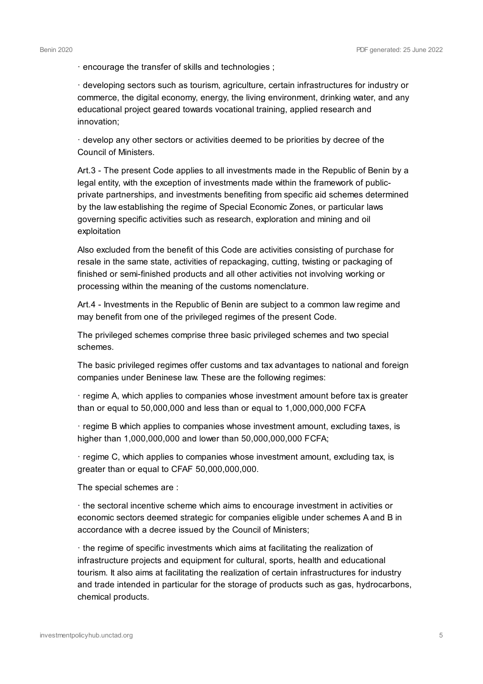· encourage the transfer of skills and technologies ;

· developing sectors such as tourism, agriculture, certain infrastructures for industry or commerce, the digital economy, energy, the living environment, drinking water, and any educational project geared towards vocational training, applied research and innovation;

· develop any other sectors or activities deemed to be priorities by decree of the Council of Ministers.

Art.3 - The present Code applies to all investments made in the Republic of Benin by a legal entity, with the exception of investments made within the framework of publicprivate partnerships, and investments benefiting from specific aid schemes determined by the law establishing the regime of Special Economic Zones, or particular laws governing specific activities such as research, exploration and mining and oil exploitation

Also excluded from the benefit of this Code are activities consisting of purchase for resale in the same state, activities of repackaging, cutting, twisting or packaging of finished or semi-finished products and all other activities not involving working or processing within the meaning of the customs nomenclature.

Art.4 - Investments in the Republic of Benin are subject to a common law regime and may benefit from one of the privileged regimes of the present Code.

The privileged schemes comprise three basic privileged schemes and two special schemes.

The basic privileged regimes offer customs and tax advantages to national and foreign companies under Beninese law. These are the following regimes:

· regime A, which applies to companies whose investment amount before tax is greater than or equal to 50,000,000 and less than or equal to 1,000,000,000 FCFA

· regime B which applies to companies whose investment amount, excluding taxes, is higher than 1,000,000,000 and lower than 50,000,000,000 FCFA;

· regime C, which applies to companies whose investment amount, excluding tax, is greater than or equal to CFAF 50,000,000,000.

The special schemes are :

· the sectoral incentive scheme which aims to encourage investment in activities or economic sectors deemed strategic for companies eligible under schemes A and B in accordance with a decree issued by the Council of Ministers;

· the regime of specific investments which aims at facilitating the realization of infrastructure projects and equipment for cultural, sports, health and educational tourism. It also aims at facilitating the realization of certain infrastructures for industry and trade intended in particular for the storage of products such as gas, hydrocarbons, chemical products.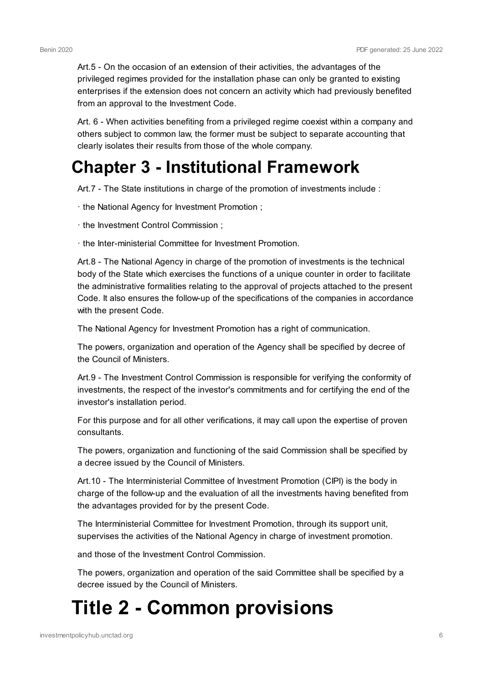Art.5 - On the occasion of an extension of their activities, the advantages of the privileged regimes provided for the installation phase can only be granted to existing enterprises if the extension does not concern an activity which had previously benefited from an approval to the Investment Code.

Art. 6 - When activities benefiting from a privileged regime coexist within a company and others subject to common law, the former must be subject to separate accounting that clearly isolates their results from those of the whole company.

### **Chapter 3 - Institutional Framework**

Art.7 - The State institutions in charge of the promotion of investments include :

- · the National Agency for Investment Promotion ;
- · the Investment Control Commission ;
- · the Inter-ministerial Committee for Investment Promotion.

Art.8 - The National Agency in charge of the promotion of investments is the technical body of the State which exercises the functions of a unique counter in order to facilitate the administrative formalities relating to the approval of projects attached to the present Code. It also ensures the follow-up of the specifications of the companies in accordance with the present Code.

The National Agency for Investment Promotion has a right of communication.

The powers, organization and operation of the Agency shall be specified by decree of the Council of Ministers.

Art.9 - The Investment Control Commission is responsible for verifying the conformity of investments, the respect of the investor's commitments and for certifying the end of the investor's installation period.

For this purpose and for all other verifications, it may call upon the expertise of proven consultants.

The powers, organization and functioning of the said Commission shall be specified by a decree issued by the Council of Ministers.

Art.10 - The Interministerial Committee of Investment Promotion (CIPI) is the body in charge of the follow-up and the evaluation of all the investments having benefited from the advantages provided for by the present Code.

The Interministerial Committee for Investment Promotion, through its support unit, supervises the activities of the National Agency in charge of investment promotion.

and those of the Investment Control Commission.

The powers, organization and operation of the said Committee shall be specified by a decree issued by the Council of Ministers.

# **Title 2 - Common provisions**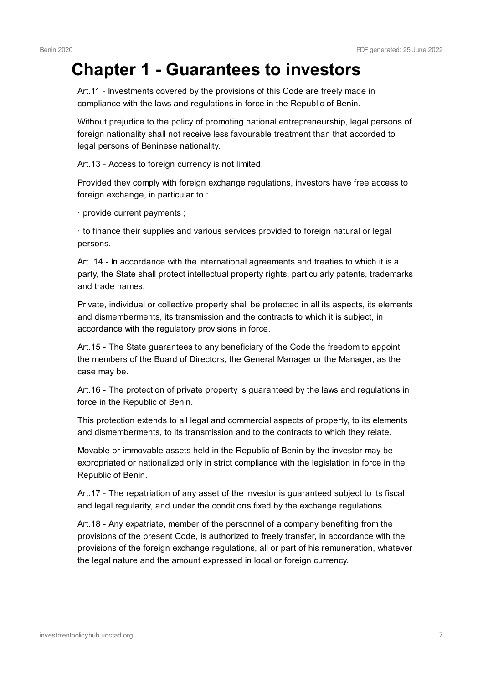### **Chapter 1 - Guarantees to investors**

Art.11 - Investments covered by the provisions of this Code are freely made in compliance with the laws and regulations in force in the Republic of Benin.

Without prejudice to the policy of promoting national entrepreneurship, legal persons of foreign nationality shall not receive less favourable treatment than that accorded to legal persons of Beninese nationality.

Art.13 - Access to foreign currency is not limited.

Provided they comply with foreign exchange regulations, investors have free access to foreign exchange, in particular to :

· provide current payments ;

· to finance their supplies and various services provided to foreign natural or legal persons.

Art. 14 - In accordance with the international agreements and treaties to which it is a party, the State shall protect intellectual property rights, particularly patents, trademarks and trade names.

Private, individual or collective property shall be protected in all its aspects, its elements and dismemberments, its transmission and the contracts to which it is subject, in accordance with the regulatory provisions in force.

Art.15 - The State guarantees to any beneficiary of the Code the freedom to appoint the members of the Board of Directors, the General Manager or the Manager, as the case may be.

Art.16 - The protection of private property is guaranteed by the laws and regulations in force in the Republic of Benin.

This protection extends to all legal and commercial aspects of property, to its elements and dismemberments, to its transmission and to the contracts to which they relate.

Movable or immovable assets held in the Republic of Benin by the investor may be expropriated or nationalized only in strict compliance with the legislation in force in the Republic of Benin.

Art.17 - The repatriation of any asset of the investor is guaranteed subject to its fiscal and legal regularity, and under the conditions fixed by the exchange regulations.

Art.18 - Any expatriate, member of the personnel of a company benefiting from the provisions of the present Code, is authorized to freely transfer, in accordance with the provisions of the foreign exchange regulations, all or part of his remuneration, whatever the legal nature and the amount expressed in local or foreign currency.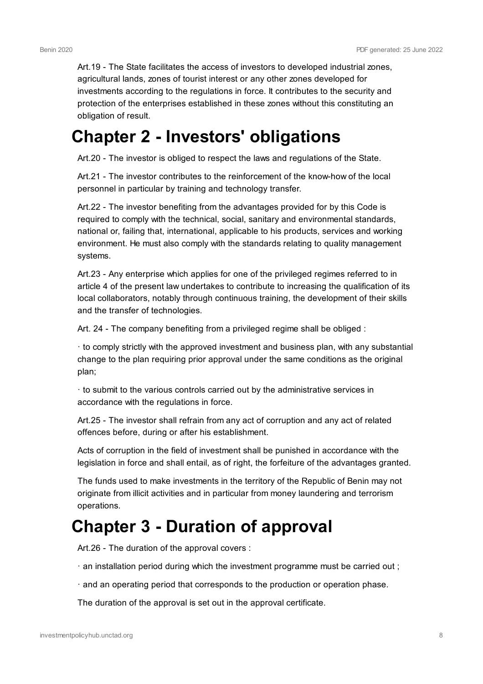Art.19 - The State facilitates the access of investors to developed industrial zones, agricultural lands, zones of tourist interest or any other zones developed for investments according to the regulations in force. It contributes to the security and protection of the enterprises established in these zones without this constituting an obligation of result.

#### **Chapter 2 - Investors' obligations**

Art.20 - The investor is obliged to respect the laws and regulations of the State.

Art.21 - The investor contributes to the reinforcement of the know-how of the local personnel in particular by training and technology transfer.

Art.22 - The investor benefiting from the advantages provided for by this Code is required to comply with the technical, social, sanitary and environmental standards, national or, failing that, international, applicable to his products, services and working environment. He must also comply with the standards relating to quality management systems.

Art.23 - Any enterprise which applies for one of the privileged regimes referred to in article 4 of the present law undertakes to contribute to increasing the qualification of its local collaborators, notably through continuous training, the development of their skills and the transfer of technologies.

Art. 24 - The company benefiting from a privileged regime shall be obliged :

· to comply strictly with the approved investment and business plan, with any substantial change to the plan requiring prior approval under the same conditions as the original plan;

· to submit to the various controls carried out by the administrative services in accordance with the regulations in force.

Art.25 - The investor shall refrain from any act of corruption and any act of related offences before, during or after his establishment.

Acts of corruption in the field of investment shall be punished in accordance with the legislation in force and shall entail, as of right, the forfeiture of the advantages granted.

The funds used to make investments in the territory of the Republic of Benin may not originate from illicit activities and in particular from money laundering and terrorism operations.

### **Chapter 3 - Duration of approval**

Art.26 - The duration of the approval covers :

- · an installation period during which the investment programme must be carried out ;
- · and an operating period that corresponds to the production or operation phase.

The duration of the approval is set out in the approval certificate.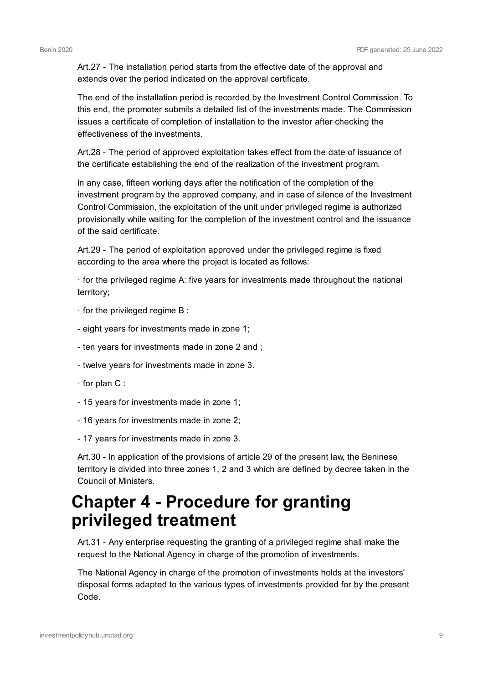Art.27 - The installation period starts from the effective date of the approval and extends over the period indicated on the approval certificate.

The end of the installation period is recorded by the Investment Control Commission. To this end, the promoter submits a detailed list of the investments made. The Commission issues a certificate of completion of installation to the investor after checking the effectiveness of the investments.

Art.28 - The period of approved exploitation takes effect from the date of issuance of the certificate establishing the end of the realization of the investment program.

In any case, fifteen working days after the notification of the completion of the investment program by the approved company, and in case of silence of the Investment Control Commission, the exploitation of the unit under privileged regime is authorized provisionally while waiting for the completion of the investment control and the issuance of the said certificate.

Art.29 - The period of exploitation approved under the privileged regime is fixed according to the area where the project is located as follows:

· for the privileged regime A: five years for investments made throughout the national territory;

- · for the privileged regime B :
- eight years for investments made in zone 1;
- ten years for investments made in zone 2 and ;
- twelve years for investments made in zone 3.
- · for plan C :
- 15 years for investments made in zone 1;
- 16 years for investments made in zone 2;
- 17 years for investments made in zone 3.

Art.30 - In application of the provisions of article 29 of the present law, the Beninese territory is divided into three zones 1, 2 and 3 which are defined by decree taken in the Council of Ministers.

#### **Chapter 4 - Procedure for granting privileged treatment**

Art.31 - Any enterprise requesting the granting of a privileged regime shall make the request to the National Agency in charge of the promotion of investments.

The National Agency in charge of the promotion of investments holds at the investors' disposal forms adapted to the various types of investments provided for by the present Code.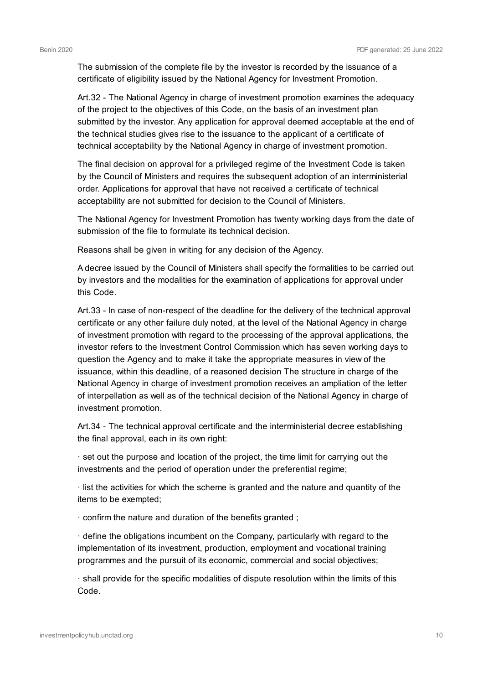The submission of the complete file by the investor is recorded by the issuance of a certificate of eligibility issued by the National Agency for Investment Promotion.

Art.32 - The National Agency in charge of investment promotion examines the adequacy of the project to the objectives of this Code, on the basis of an investment plan submitted by the investor. Any application for approval deemed acceptable at the end of the technical studies gives rise to the issuance to the applicant of a certificate of technical acceptability by the National Agency in charge of investment promotion.

The final decision on approval for a privileged regime of the Investment Code is taken by the Council of Ministers and requires the subsequent adoption of an interministerial order. Applications for approval that have not received a certificate of technical acceptability are not submitted for decision to the Council of Ministers.

The National Agency for Investment Promotion has twenty working days from the date of submission of the file to formulate its technical decision.

Reasons shall be given in writing for any decision of the Agency.

A decree issued by the Council of Ministers shall specify the formalities to be carried out by investors and the modalities for the examination of applications for approval under this Code.

Art.33 - In case of non-respect of the deadline for the delivery of the technical approval certificate or any other failure duly noted, at the level of the National Agency in charge of investment promotion with regard to the processing of the approval applications, the investor refers to the Investment Control Commission which has seven working days to question the Agency and to make it take the appropriate measures in view of the issuance, within this deadline, of a reasoned decision The structure in charge of the National Agency in charge of investment promotion receives an ampliation of the letter of interpellation as well as of the technical decision of the National Agency in charge of investment promotion.

Art.34 - The technical approval certificate and the interministerial decree establishing the final approval, each in its own right:

· set out the purpose and location of the project, the time limit for carrying out the investments and the period of operation under the preferential regime;

· list the activities for which the scheme is granted and the nature and quantity of the items to be exempted;

· confirm the nature and duration of the benefits granted ;

· define the obligations incumbent on the Company, particularly with regard to the implementation of its investment, production, employment and vocational training programmes and the pursuit of its economic, commercial and social objectives;

· shall provide for the specific modalities of dispute resolution within the limits of this Code.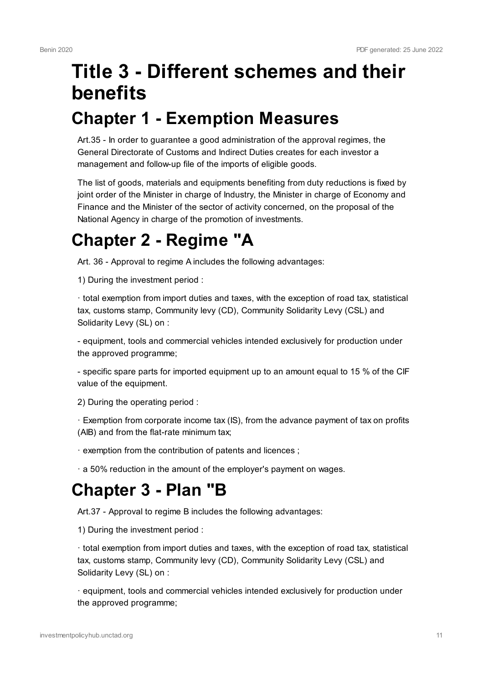# **Title 3 - Different schemes and their benefits Chapter 1 - Exemption Measures**

Art.35 - In order to guarantee a good administration of the approval regimes, the General Directorate of Customs and Indirect Duties creates for each investor a management and follow-up file of the imports of eligible goods.

The list of goods, materials and equipments benefiting from duty reductions is fixed by joint order of the Minister in charge of Industry, the Minister in charge of Economy and Finance and the Minister of the sector of activity concerned, on the proposal of the National Agency in charge of the promotion of investments.

### **Chapter 2 - Regime "A**

Art. 36 - Approval to regime A includes the following advantages:

1) During the investment period :

· total exemption from import duties and taxes, with the exception of road tax, statistical tax, customs stamp, Community levy (CD), Community Solidarity Levy (CSL) and Solidarity Levy (SL) on :

- equipment, tools and commercial vehicles intended exclusively for production under the approved programme;

- specific spare parts for imported equipment up to an amount equal to 15 % of the CIF value of the equipment.

2) During the operating period :

· Exemption from corporate income tax (IS), from the advance payment of tax on profits (AIB) and from the flat-rate minimum tax;

· exemption from the contribution of patents and licences ;

· a 50% reduction in the amount of the employer's payment on wages.

#### **Chapter 3 - Plan "B**

Art.37 - Approval to regime B includes the following advantages:

1) During the investment period :

· total exemption from import duties and taxes, with the exception of road tax, statistical tax, customs stamp, Community levy (CD), Community Solidarity Levy (CSL) and Solidarity Levy (SL) on :

· equipment, tools and commercial vehicles intended exclusively for production under the approved programme;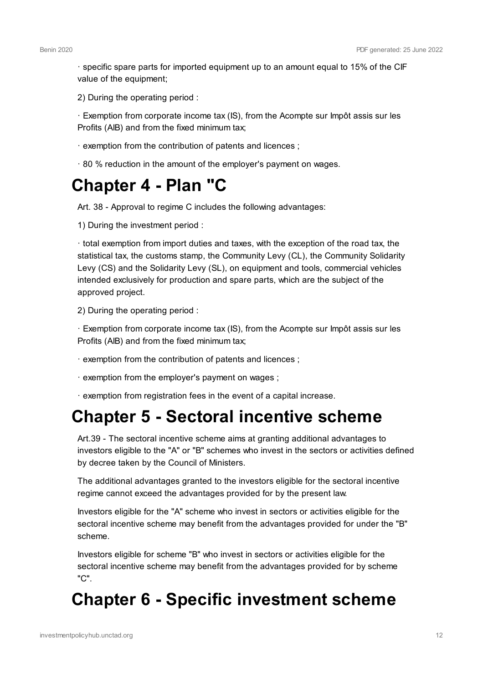· specific spare parts for imported equipment up to an amount equal to 15% of the CIF value of the equipment;

2) During the operating period :

· Exemption from corporate income tax (IS), from the Acompte sur Impôt assis sur les Profits (AIB) and from the fixed minimum tax;

- · exemption from the contribution of patents and licences ;
- · 80 % reduction in the amount of the employer's payment on wages.

### **Chapter 4 - Plan "C**

Art. 38 - Approval to regime C includes the following advantages:

1) During the investment period :

· total exemption from import duties and taxes, with the exception of the road tax, the statistical tax, the customs stamp, the Community Levy (CL), the Community Solidarity Levy (CS) and the Solidarity Levy (SL), on equipment and tools, commercial vehicles intended exclusively for production and spare parts, which are the subject of the approved project.

2) During the operating period :

· Exemption from corporate income tax (IS), from the Acompte sur Impôt assis sur les Profits (AIB) and from the fixed minimum tax;

- · exemption from the contribution of patents and licences ;
- · exemption from the employer's payment on wages ;
- · exemption from registration fees in the event of a capital increase.

#### **Chapter 5 - Sectoral incentive scheme**

Art.39 - The sectoral incentive scheme aims at granting additional advantages to investors eligible to the "A" or "B" schemes who invest in the sectors or activities defined by decree taken by the Council of Ministers.

The additional advantages granted to the investors eligible for the sectoral incentive regime cannot exceed the advantages provided for by the present law.

Investors eligible for the "A" scheme who invest in sectors or activities eligible for the sectoral incentive scheme may benefit from the advantages provided for under the "B" scheme.

Investors eligible for scheme "B" who invest in sectors or activities eligible for the sectoral incentive scheme may benefit from the advantages provided for by scheme "C".

### **Chapter 6 - Specific investment scheme**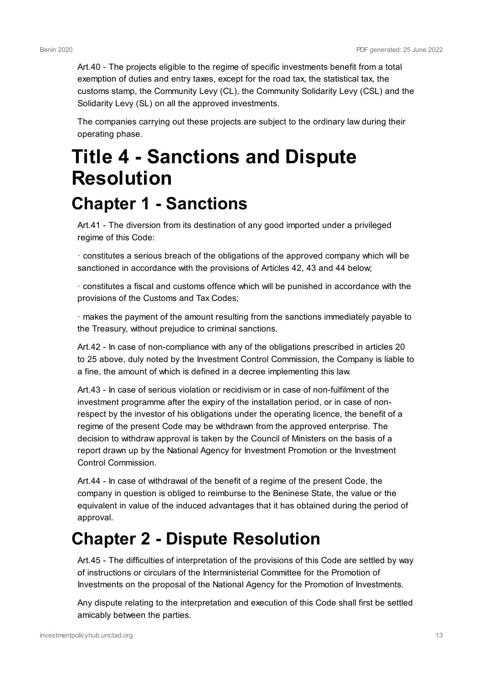Art.40 - The projects eligible to the regime of specific investments benefit from a total exemption of duties and entry taxes, except for the road tax, the statistical tax, the customs stamp, the Community Levy (CL), the Community Solidarity Levy (CSL) and the Solidarity Levy (SL) on all the approved investments.

The companies carrying out these projects are subject to the ordinary law during their operating phase.

# **Title 4 - Sanctions and Dispute Resolution Chapter 1 - Sanctions**

Art.41 - The diversion from its destination of any good imported under a privileged regime of this Code:

· constitutes a serious breach of the obligations of the approved company which will be sanctioned in accordance with the provisions of Articles 42, 43 and 44 below;

· constitutes a fiscal and customs offence which will be punished in accordance with the provisions of the Customs and Tax Codes;

· makes the payment of the amount resulting from the sanctions immediately payable to the Treasury, without prejudice to criminal sanctions.

Art.42 - In case of non-compliance with any of the obligations prescribed in articles 20 to 25 above, duly noted by the Investment Control Commission, the Company is liable to a fine, the amount of which is defined in a decree implementing this law.

Art.43 - In case of serious violation or recidivism or in case of non-fulfilment of the investment programme after the expiry of the installation period, or in case of nonrespect by the investor of his obligations under the operating licence, the benefit of a regime of the present Code may be withdrawn from the approved enterprise. The decision to withdraw approval is taken by the Council of Ministers on the basis of a report drawn up by the National Agency for Investment Promotion or the Investment Control Commission.

Art.44 - In case of withdrawal of the benefit of a regime of the present Code, the company in question is obliged to reimburse to the Beninese State, the value or the equivalent in value of the induced advantages that it has obtained during the period of approval.

## **Chapter 2 - Dispute Resolution**

Art.45 - The difficulties of interpretation of the provisions of this Code are settled by way of instructions or circulars of the Interministerial Committee for the Promotion of Investments on the proposal of the National Agency for the Promotion of Investments.

Any dispute relating to the interpretation and execution of this Code shall first be settled amicably between the parties.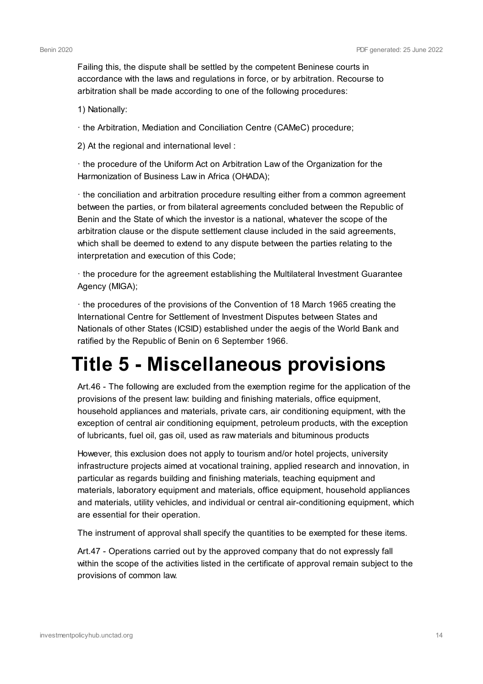Failing this, the dispute shall be settled by the competent Beninese courts in accordance with the laws and regulations in force, or by arbitration. Recourse to arbitration shall be made according to one of the following procedures:

1) Nationally:

· the Arbitration, Mediation and Conciliation Centre (CAMeC) procedure;

2) At the regional and international level :

· the procedure of the Uniform Act on Arbitration Law of the Organization for the Harmonization of Business Law in Africa (OHADA);

· the conciliation and arbitration procedure resulting either from a common agreement between the parties, or from bilateral agreements concluded between the Republic of Benin and the State of which the investor is a national, whatever the scope of the arbitration clause or the dispute settlement clause included in the said agreements, which shall be deemed to extend to any dispute between the parties relating to the interpretation and execution of this Code;

· the procedure for the agreement establishing the Multilateral Investment Guarantee Agency (MIGA);

· the procedures of the provisions of the Convention of 18 March 1965 creating the International Centre for Settlement of Investment Disputes between States and Nationals of other States (ICSID) established under the aegis of the World Bank and ratified by the Republic of Benin on 6 September 1966.

# **Title 5 - Miscellaneous provisions**

Art.46 - The following are excluded from the exemption regime for the application of the provisions of the present law: building and finishing materials, office equipment, household appliances and materials, private cars, air conditioning equipment, with the exception of central air conditioning equipment, petroleum products, with the exception of lubricants, fuel oil, gas oil, used as raw materials and bituminous products

However, this exclusion does not apply to tourism and/or hotel projects, university infrastructure projects aimed at vocational training, applied research and innovation, in particular as regards building and finishing materials, teaching equipment and materials, laboratory equipment and materials, office equipment, household appliances and materials, utility vehicles, and individual or central air-conditioning equipment, which are essential for their operation.

The instrument of approval shall specify the quantities to be exempted for these items.

Art.47 - Operations carried out by the approved company that do not expressly fall within the scope of the activities listed in the certificate of approval remain subject to the provisions of common law.